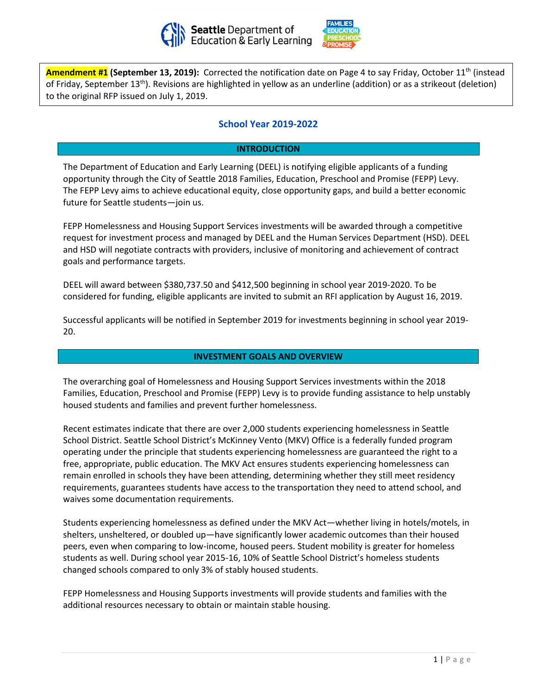



of Friday, September 13<sup>th</sup>). Revisions are highlighted in yellow as an underline (addition) or as a strikeout (deletion) **Amendment #1 (September 13, 2019):** Corrected the notification date on Page 4 to say Friday, October 11th (instead to the original RFP issued on July 1, 2019.

# **School Year 2019-2022**

# **INTRODUCTION**

The Department of Education and Early Learning (DEEL) is notifying eligible applicants of a funding opportunity through the City of Seattle 2018 Families, Education, Preschool and Promise (FEPP) Levy. The FEPP Levy aims to achieve educational equity, close opportunity gaps, and build a better economic future for Seattle students—join us.

FEPP Homelessness and Housing Support Services investments will be awarded through a competitive request for investment process and managed by DEEL and the Human Services Department (HSD). DEEL and HSD will negotiate contracts with providers, inclusive of monitoring and achievement of contract goals and performance targets.

DEEL will award between \$380,737.50 and \$412,500 beginning in school year 2019-2020. To be considered for funding, eligible applicants are invited to submit an RFI application by August 16, 2019.

Successful applicants will be notified in September 2019 for investments beginning in school year 2019- 20.

# **INVESTMENT GOALS AND OVERVIEW**

The overarching goal of Homelessness and Housing Support Services investments within the 2018 Families, Education, Preschool and Promise (FEPP) Levy is to provide funding assistance to help unstably housed students and families and prevent further homelessness.

Recent estimates indicate that there are over 2,000 students experiencing homelessness in Seattle School District. Seattle School District's McKinney Vento (MKV) Office is a federally funded program operating under the principle that students experiencing homelessness are guaranteed the right to a free, appropriate, public education. The MKV Act ensures students experiencing homelessness can remain enrolled in schools they have been attending, determining whether they still meet residency requirements, guarantees students have access to the transportation they need to attend school, and waives some documentation requirements.

Students experiencing homelessness as defined under the MKV Act—whether living in hotels/motels, in shelters, unsheltered, or doubled up—have significantly lower academic outcomes than their housed peers, even when comparing to low-income, housed peers. Student mobility is greater for homeless students as well. During school year 2015-16, 10% of Seattle School District's homeless students changed schools compared to only 3% of stably housed students.

FEPP Homelessness and Housing Supports investments will provide students and families with the additional resources necessary to obtain or maintain stable housing.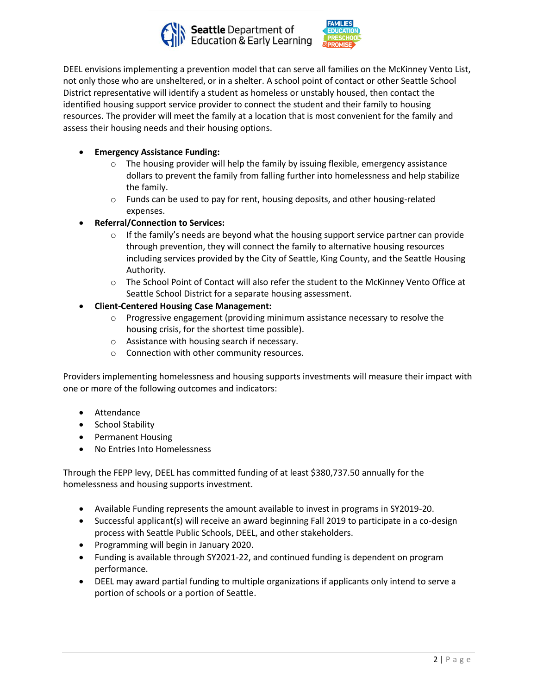



DEEL envisions implementing a prevention model that can serve all families on the McKinney Vento List, not only those who are unsheltered, or in a shelter. A school point of contact or other Seattle School District representative will identify a student as homeless or unstably housed, then contact the identified housing support service provider to connect the student and their family to housing resources. The provider will meet the family at a location that is most convenient for the family and assess their housing needs and their housing options.

# • **Emergency Assistance Funding:**

- $\circ$  The housing provider will help the family by issuing flexible, emergency assistance dollars to prevent the family from falling further into homelessness and help stabilize the family.
- o Funds can be used to pay for rent, housing deposits, and other housing-related expenses.
- **Referral/Connection to Services:**
	- $\circ$  If the family's needs are beyond what the housing support service partner can provide through prevention, they will connect the family to alternative housing resources including services provided by the City of Seattle, King County, and the Seattle Housing Authority.
	- $\circ$  The School Point of Contact will also refer the student to the McKinney Vento Office at Seattle School District for a separate housing assessment.
- **Client-Centered Housing Case Management:**
	- o Progressive engagement (providing minimum assistance necessary to resolve the housing crisis, for the shortest time possible).
	- o Assistance with housing search if necessary.
	- o Connection with other community resources.

Providers implementing homelessness and housing supports investments will measure their impact with one or more of the following outcomes and indicators:

- Attendance
- School Stability
- Permanent Housing
- No Entries Into Homelessness

Through the FEPP levy, DEEL has committed funding of at least \$380,737.50 annually for the homelessness and housing supports investment.

- Available Funding represents the amount available to invest in programs in SY2019-20.
- Successful applicant(s) will receive an award beginning Fall 2019 to participate in a co-design process with Seattle Public Schools, DEEL, and other stakeholders.
- Programming will begin in January 2020.
- Funding is available through SY2021-22, and continued funding is dependent on program performance.
- DEEL may award partial funding to multiple organizations if applicants only intend to serve a portion of schools or a portion of Seattle.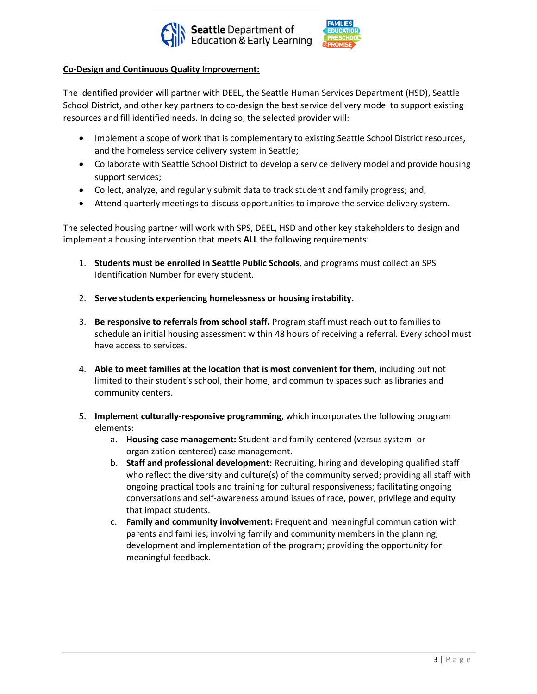



### **Co-Design and Continuous Quality Improvement:**

The identified provider will partner with DEEL, the Seattle Human Services Department (HSD), Seattle School District, and other key partners to co-design the best service delivery model to support existing resources and fill identified needs. In doing so, the selected provider will:

- Implement a scope of work that is complementary to existing Seattle School District resources, and the homeless service delivery system in Seattle;
- Collaborate with Seattle School District to develop a service delivery model and provide housing support services;
- Collect, analyze, and regularly submit data to track student and family progress; and,
- Attend quarterly meetings to discuss opportunities to improve the service delivery system.

The selected housing partner will work with SPS, DEEL, HSD and other key stakeholders to design and implement a housing intervention that meets **ALL** the following requirements:

- 1. **Students must be enrolled in Seattle Public Schools**, and programs must collect an SPS Identification Number for every student.
- 2. **Serve students experiencing homelessness or housing instability.**
- 3. **Be responsive to referrals from school staff.** Program staff must reach out to families to schedule an initial housing assessment within 48 hours of receiving a referral. Every school must have access to services.
- 4. **Able to meet families at the location that is most convenient for them,** including but not limited to their student's school, their home, and community spaces such as libraries and community centers.
- 5. **Implement culturally-responsive programming**, which incorporates the following program elements:
	- a. **Housing case management:** Student-and family-centered (versus system- or organization-centered) case management.
	- b. **Staff and professional development:** Recruiting, hiring and developing qualified staff who reflect the diversity and culture(s) of the community served; providing all staff with ongoing practical tools and training for cultural responsiveness; facilitating ongoing conversations and self-awareness around issues of race, power, privilege and equity that impact students.
	- c. **Family and community involvement:** Frequent and meaningful communication with parents and families; involving family and community members in the planning, development and implementation of the program; providing the opportunity for meaningful feedback.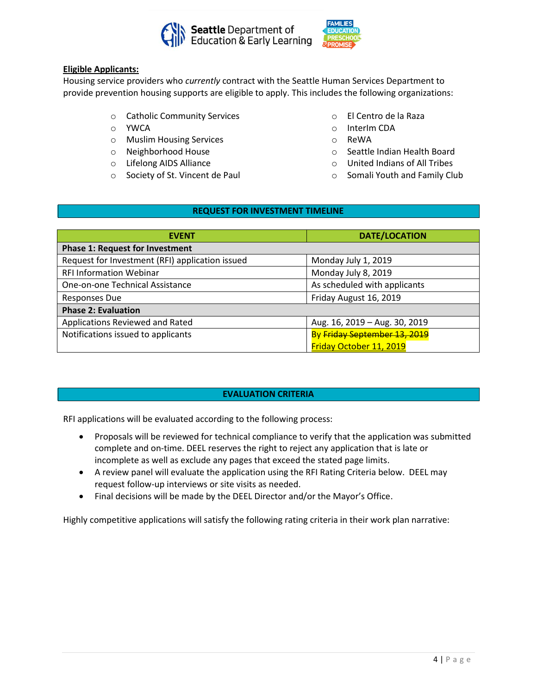



# **Eligible Applicants:**

Housing service providers who *currently* contract with the Seattle Human Services Department to provide prevention housing supports are eligible to apply. This includes the following organizations:

- o Catholic Community Services
- o YWCA
- o Muslim Housing Services
- o Neighborhood House
- o Lifelong AIDS Alliance
- o Society of St. Vincent de Paul
- o El Centro de la Raza
- o InterIm CDA
- o ReWA
- o Seattle Indian Health Board
- o United Indians of All Tribes
- o Somali Youth and Family Club

# **REQUEST FOR INVESTMENT TIMELINE**

| <b>EVENT</b>                                    | <b>DATE/LOCATION</b>          |  |
|-------------------------------------------------|-------------------------------|--|
| <b>Phase 1: Request for Investment</b>          |                               |  |
| Request for Investment (RFI) application issued | Monday July 1, 2019           |  |
| <b>RFI Information Webinar</b>                  | Monday July 8, 2019           |  |
| One-on-one Technical Assistance                 | As scheduled with applicants  |  |
| <b>Responses Due</b>                            | Friday August 16, 2019        |  |
| <b>Phase 2: Evaluation</b>                      |                               |  |
| Applications Reviewed and Rated                 | Aug. 16, 2019 - Aug. 30, 2019 |  |
| Notifications issued to applicants              | By Friday September 13, 2019  |  |
|                                                 | Friday October 11, 2019       |  |

# **EVALUATION CRITERIA**

RFI applications will be evaluated according to the following process:

- Proposals will be reviewed for technical compliance to verify that the application was submitted complete and on-time. DEEL reserves the right to reject any application that is late or incomplete as well as exclude any pages that exceed the stated page limits.
- A review panel will evaluate the application using the RFI Rating Criteria below. DEEL may request follow-up interviews or site visits as needed.
- Final decisions will be made by the DEEL Director and/or the Mayor's Office.

Highly competitive applications will satisfy the following rating criteria in their work plan narrative: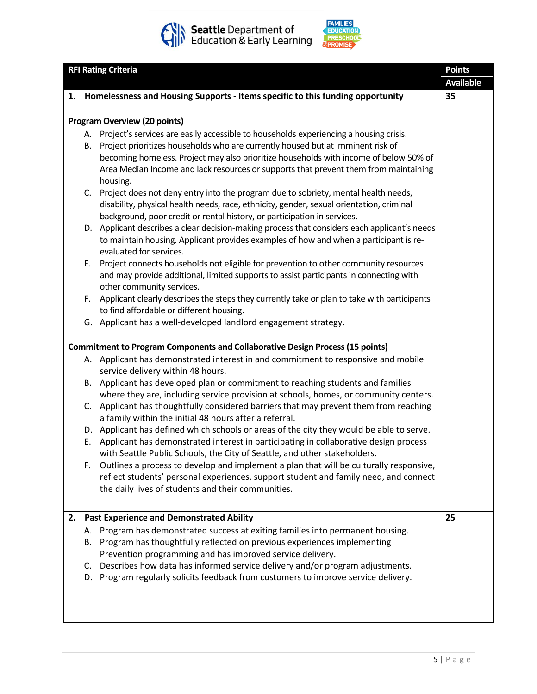



| <b>RFI Rating Criteria</b> |    |                                                                                                                                                                                | <b>Points</b><br><b>Available</b> |
|----------------------------|----|--------------------------------------------------------------------------------------------------------------------------------------------------------------------------------|-----------------------------------|
|                            |    | 1. Homelessness and Housing Supports - Items specific to this funding opportunity                                                                                              | 35                                |
|                            |    |                                                                                                                                                                                |                                   |
|                            |    | <b>Program Overview (20 points)</b>                                                                                                                                            |                                   |
|                            | А. | Project's services are easily accessible to households experiencing a housing crisis.                                                                                          |                                   |
|                            | В. | Project prioritizes households who are currently housed but at imminent risk of<br>becoming homeless. Project may also prioritize households with income of below 50% of       |                                   |
|                            |    | Area Median Income and lack resources or supports that prevent them from maintaining                                                                                           |                                   |
|                            |    | housing.                                                                                                                                                                       |                                   |
|                            | C. | Project does not deny entry into the program due to sobriety, mental health needs,                                                                                             |                                   |
|                            |    | disability, physical health needs, race, ethnicity, gender, sexual orientation, criminal                                                                                       |                                   |
|                            |    | background, poor credit or rental history, or participation in services.                                                                                                       |                                   |
|                            |    | D. Applicant describes a clear decision-making process that considers each applicant's needs                                                                                   |                                   |
|                            |    | to maintain housing. Applicant provides examples of how and when a participant is re-                                                                                          |                                   |
|                            |    | evaluated for services.                                                                                                                                                        |                                   |
|                            | Ε. | Project connects households not eligible for prevention to other community resources                                                                                           |                                   |
|                            |    | and may provide additional, limited supports to assist participants in connecting with                                                                                         |                                   |
|                            |    | other community services.                                                                                                                                                      |                                   |
|                            | F. | Applicant clearly describes the steps they currently take or plan to take with participants                                                                                    |                                   |
|                            |    | to find affordable or different housing.<br>G. Applicant has a well-developed landlord engagement strategy.                                                                    |                                   |
|                            |    |                                                                                                                                                                                |                                   |
|                            |    | <b>Commitment to Program Components and Collaborative Design Process (15 points)</b>                                                                                           |                                   |
|                            |    | A. Applicant has demonstrated interest in and commitment to responsive and mobile                                                                                              |                                   |
|                            |    | service delivery within 48 hours.                                                                                                                                              |                                   |
|                            | В. | Applicant has developed plan or commitment to reaching students and families                                                                                                   |                                   |
|                            |    | where they are, including service provision at schools, homes, or community centers.                                                                                           |                                   |
|                            |    | C. Applicant has thoughtfully considered barriers that may prevent them from reaching                                                                                          |                                   |
|                            |    | a family within the initial 48 hours after a referral.                                                                                                                         |                                   |
|                            |    | D. Applicant has defined which schools or areas of the city they would be able to serve.                                                                                       |                                   |
|                            | E. | Applicant has demonstrated interest in participating in collaborative design process                                                                                           |                                   |
|                            |    | with Seattle Public Schools, the City of Seattle, and other stakeholders.                                                                                                      |                                   |
|                            | F. | Outlines a process to develop and implement a plan that will be culturally responsive,<br>reflect students' personal experiences, support student and family need, and connect |                                   |
|                            |    | the daily lives of students and their communities.                                                                                                                             |                                   |
|                            |    |                                                                                                                                                                                |                                   |
| 2.                         |    | <b>Past Experience and Demonstrated Ability</b>                                                                                                                                | 25                                |
|                            | А. | Program has demonstrated success at exiting families into permanent housing.                                                                                                   |                                   |
|                            | В. | Program has thoughtfully reflected on previous experiences implementing                                                                                                        |                                   |
|                            |    | Prevention programming and has improved service delivery.                                                                                                                      |                                   |
|                            |    | C. Describes how data has informed service delivery and/or program adjustments.                                                                                                |                                   |
|                            | D. | Program regularly solicits feedback from customers to improve service delivery.                                                                                                |                                   |
|                            |    |                                                                                                                                                                                |                                   |
|                            |    |                                                                                                                                                                                |                                   |
|                            |    |                                                                                                                                                                                |                                   |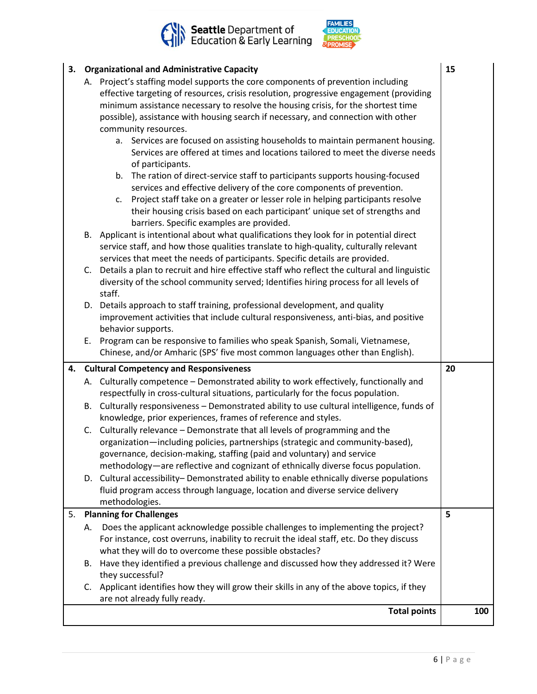



|  | 3. Organizational and Administrative Capacity | 15 |  |
|--|-----------------------------------------------|----|--|
|--|-----------------------------------------------|----|--|

|    |                                                                                                                                                                                                                                                                 | <b>Total points</b>                                                                                                                                                                                                                                                                                                                                          | 100 |
|----|-----------------------------------------------------------------------------------------------------------------------------------------------------------------------------------------------------------------------------------------------------------------|--------------------------------------------------------------------------------------------------------------------------------------------------------------------------------------------------------------------------------------------------------------------------------------------------------------------------------------------------------------|-----|
|    |                                                                                                                                                                                                                                                                 | are not already fully ready.                                                                                                                                                                                                                                                                                                                                 |     |
|    |                                                                                                                                                                                                                                                                 | they successful?<br>C. Applicant identifies how they will grow their skills in any of the above topics, if they                                                                                                                                                                                                                                              |     |
|    | В.                                                                                                                                                                                                                                                              | Have they identified a previous challenge and discussed how they addressed it? Were                                                                                                                                                                                                                                                                          |     |
|    | А.                                                                                                                                                                                                                                                              | Does the applicant acknowledge possible challenges to implementing the project?<br>For instance, cost overruns, inability to recruit the ideal staff, etc. Do they discuss<br>what they will do to overcome these possible obstacles?                                                                                                                        |     |
| 5. |                                                                                                                                                                                                                                                                 | <b>Planning for Challenges</b>                                                                                                                                                                                                                                                                                                                               | 5   |
|    |                                                                                                                                                                                                                                                                 | fluid program access through language, location and diverse service delivery<br>methodologies.                                                                                                                                                                                                                                                               |     |
|    |                                                                                                                                                                                                                                                                 | governance, decision-making, staffing (paid and voluntary) and service<br>methodology—are reflective and cognizant of ethnically diverse focus population.<br>D. Cultural accessibility- Demonstrated ability to enable ethnically diverse populations                                                                                                       |     |
|    | C.                                                                                                                                                                                                                                                              | Culturally relevance - Demonstrate that all levels of programming and the<br>organization-including policies, partnerships (strategic and community-based),                                                                                                                                                                                                  |     |
|    | В.                                                                                                                                                                                                                                                              | respectfully in cross-cultural situations, particularly for the focus population.<br>Culturally responsiveness - Demonstrated ability to use cultural intelligence, funds of<br>knowledge, prior experiences, frames of reference and styles.                                                                                                                |     |
|    |                                                                                                                                                                                                                                                                 | A. Culturally competence - Demonstrated ability to work effectively, functionally and                                                                                                                                                                                                                                                                        |     |
|    |                                                                                                                                                                                                                                                                 | 4. Cultural Competency and Responsiveness                                                                                                                                                                                                                                                                                                                    | 20  |
|    | Ε.                                                                                                                                                                                                                                                              | behavior supports.<br>Program can be responsive to families who speak Spanish, Somali, Vietnamese,<br>Chinese, and/or Amharic (SPS' five most common languages other than English).                                                                                                                                                                          |     |
|    |                                                                                                                                                                                                                                                                 | staff.<br>D. Details approach to staff training, professional development, and quality<br>improvement activities that include cultural responsiveness, anti-bias, and positive                                                                                                                                                                               |     |
|    | C.                                                                                                                                                                                                                                                              | service staff, and how those qualities translate to high-quality, culturally relevant<br>services that meet the needs of participants. Specific details are provided.<br>Details a plan to recruit and hire effective staff who reflect the cultural and linguistic<br>diversity of the school community served; Identifies hiring process for all levels of |     |
|    |                                                                                                                                                                                                                                                                 | Project staff take on a greater or lesser role in helping participants resolve<br>c.<br>their housing crisis based on each participant' unique set of strengths and<br>barriers. Specific examples are provided.<br>B. Applicant is intentional about what qualifications they look for in potential direct                                                  |     |
|    |                                                                                                                                                                                                                                                                 | of participants.<br>b. The ration of direct-service staff to participants supports housing-focused<br>services and effective delivery of the core components of prevention.                                                                                                                                                                                  |     |
|    |                                                                                                                                                                                                                                                                 | possible), assistance with housing search if necessary, and connection with other<br>community resources.<br>a. Services are focused on assisting households to maintain permanent housing.<br>Services are offered at times and locations tailored to meet the diverse needs                                                                                |     |
|    | A. Project's staffing model supports the core components of prevention including<br>effective targeting of resources, crisis resolution, progressive engagement (providing<br>minimum assistance necessary to resolve the housing crisis, for the shortest time |                                                                                                                                                                                                                                                                                                                                                              |     |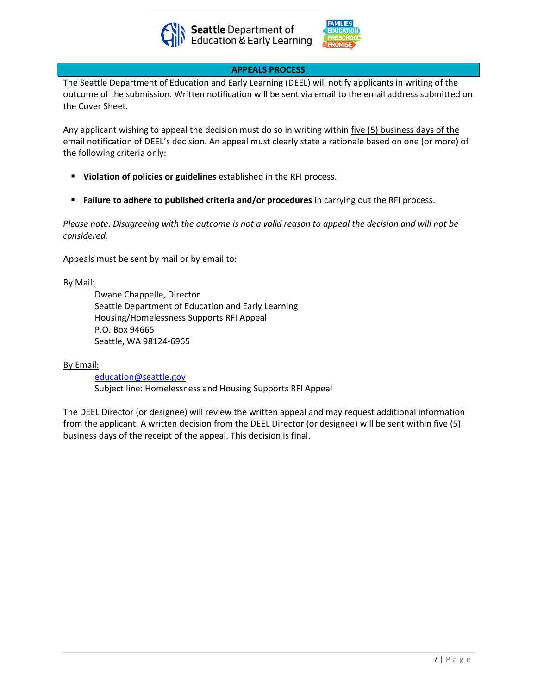



# **APPEALS PROCESS**

The Seattle Department of Education and Early Learning (DEEL) will notify applicants in writing of the outcome of the submission. Written notification will be sent via email to the email address submitted on the Cover Sheet.

Any applicant wishing to appeal the decision must do so in writing within five (5) business days of the email notification of DEEL's decision. An appeal must clearly state a rationale based on one (or more) of the following criteria only:

- **Violation of policies or guidelines** established in the RFI process.
- **EXECTE:** Failure to adhere to published criteria and/or procedures in carrying out the RFI process.

*Please note: Disagreeing with the outcome is not a valid reason to appeal the decision and will not be considered.*

Appeals must be sent by mail or by email to:

### By Mail:

Dwane Chappelle, Director Seattle Department of Education and Early Learning Housing/Homelessness Supports RFI Appeal P.O. Box 94665 Seattle, WA 98124-6965

### By Email:

[education@seattle.gov](mailto:education@seattle.gov) Subject line: Homelessness and Housing Supports RFI Appeal

The DEEL Director (or designee) will review the written appeal and may request additional information from the applicant. A written decision from the DEEL Director (or designee) will be sent within five (5) business days of the receipt of the appeal. This decision is final.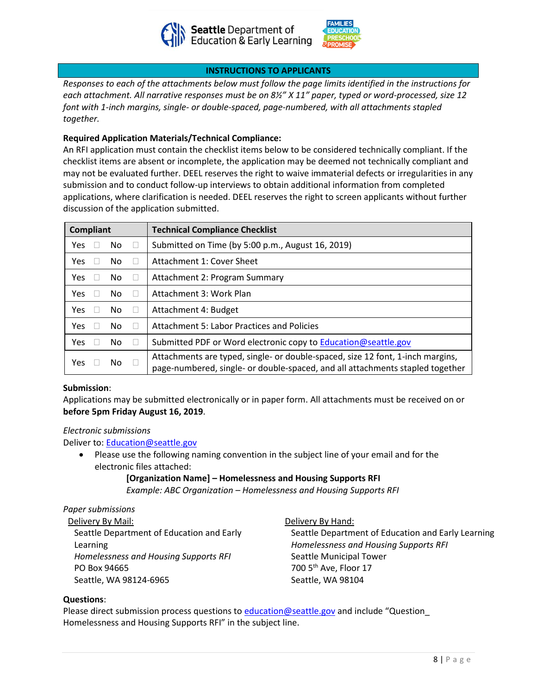



# **INSTRUCTIONS TO APPLICANTS**

*Responses to each of the attachments below must follow the page limits identified in the instructions for each attachment. All narrative responses must be on 8½" X 11" paper, typed or word-processed, size 12 font with 1-inch margins, single- or double-spaced, page-numbered, with all attachments stapled together.*

# **Required Application Materials/Technical Compliance:**

An RFI application must contain the checklist items below to be considered technically compliant. If the checklist items are absent or incomplete, the application may be deemed not technically compliant and may not be evaluated further. DEEL reserves the right to waive immaterial defects or irregularities in any submission and to conduct follow-up interviews to obtain additional information from completed applications, where clarification is needed. DEEL reserves the right to screen applicants without further discussion of the application submitted.

| <b>Compliant</b> |     | <b>Technical Compliance Checklist</b>                                                                                                                           |
|------------------|-----|-----------------------------------------------------------------------------------------------------------------------------------------------------------------|
| <b>Yes</b>       | No  | Submitted on Time (by 5:00 p.m., August 16, 2019)                                                                                                               |
| <b>Yes</b>       | No. | Attachment 1: Cover Sheet                                                                                                                                       |
| <b>Yes</b>       | No  | Attachment 2: Program Summary                                                                                                                                   |
| <b>Yes</b>       | No  | Attachment 3: Work Plan                                                                                                                                         |
| <b>Yes</b>       | No  | Attachment 4: Budget                                                                                                                                            |
| <b>Yes</b>       | No  | <b>Attachment 5: Labor Practices and Policies</b>                                                                                                               |
| <b>Yes</b>       | No. | Submitted PDF or Word electronic copy to <b>Education@seattle.gov</b>                                                                                           |
| <b>Yes</b>       | No  | Attachments are typed, single- or double-spaced, size 12 font, 1-inch margins,<br>page-numbered, single- or double-spaced, and all attachments stapled together |

### **Submission**:

Applications may be submitted electronically or in paper form. All attachments must be received on or **before 5pm Friday August 16, 2019**.

### *Electronic submissions*

Deliver to: [Education@seattle.gov](mailto:Education@seattle.gov)

- Please use the following naming convention in the subject line of your email and for the electronic files attached:
	- **[Organization Name] – Homelessness and Housing Supports RFI**

*Example: ABC Organization – Homelessness and Housing Supports RFI*

# *Paper submissions*

Delivery By Mail: Seattle Department of Education and Early Learning *Homelessness and Housing Supports RFI* PO Box 94665 Seattle, WA 98124-6965

Delivery By Hand: Seattle Department of Education and Early Learning *Homelessness and Housing Supports RFI* Seattle Municipal Tower 700 5<sup>th</sup> Ave, Floor 17 Seattle, WA 98104

### **Questions**:

Please direct submission process questions t[o education@seattle.gov](mailto:education@seattle.gov) and include "Question Homelessness and Housing Supports RFI" in the subject line.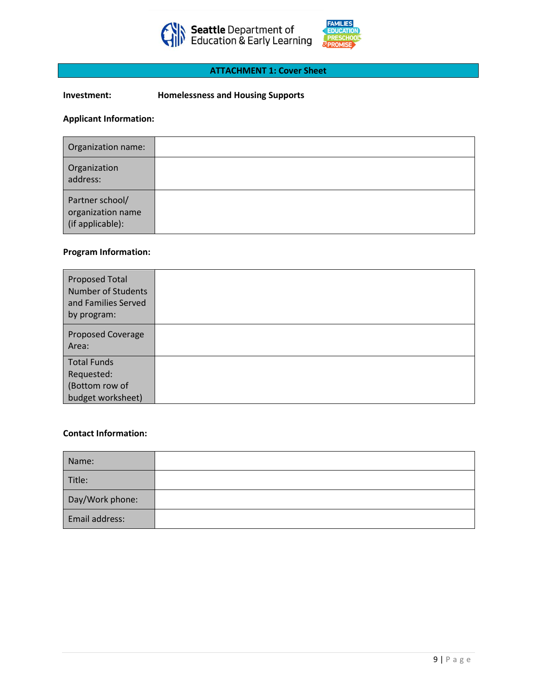



# **ATTACHMENT 1: Cover Sheet**

# **Investment: Homelessness and Housing Supports**

# **Applicant Information:**

| Organization name:                                       |  |
|----------------------------------------------------------|--|
| Organization<br>address:                                 |  |
| Partner school/<br>organization name<br>(if applicable): |  |

# **Program Information:**

| <b>Proposed Total</b><br><b>Number of Students</b><br>and Families Served<br>by program: |  |
|------------------------------------------------------------------------------------------|--|
| Proposed Coverage<br>Area:                                                               |  |
| <b>Total Funds</b><br>Requested:<br>(Bottom row of<br>budget worksheet)                  |  |

### **Contact Information:**

| Name:           |  |
|-----------------|--|
| Title:          |  |
| Day/Work phone: |  |
| Email address:  |  |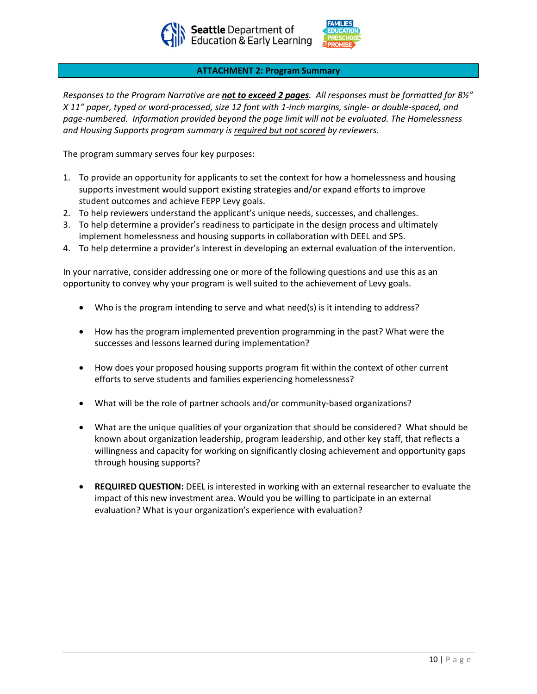



### **ATTACHMENT 2: Program Summary**

*Responses to the Program Narrative are not to exceed 2 pages. All responses must be formatted for 8½" X 11" paper, typed or word-processed, size 12 font with 1-inch margins, single- or double-spaced, and page-numbered. Information provided beyond the page limit will not be evaluated. The Homelessness and Housing Supports program summary is required but not scored by reviewers.* 

The program summary serves four key purposes:

- 1. To provide an opportunity for applicants to set the context for how a homelessness and housing supports investment would support existing strategies and/or expand efforts to improve student outcomes and achieve FEPP Levy goals.
- 2. To help reviewers understand the applicant's unique needs, successes, and challenges.
- 3. To help determine a provider's readiness to participate in the design process and ultimately implement homelessness and housing supports in collaboration with DEEL and SPS.
- 4. To help determine a provider's interest in developing an external evaluation of the intervention.

In your narrative, consider addressing one or more of the following questions and use this as an opportunity to convey why your program is well suited to the achievement of Levy goals.

- Who is the program intending to serve and what need(s) is it intending to address?
- How has the program implemented prevention programming in the past? What were the successes and lessons learned during implementation?
- How does your proposed housing supports program fit within the context of other current efforts to serve students and families experiencing homelessness?
- What will be the role of partner schools and/or community-based organizations?
- What are the unique qualities of your organization that should be considered? What should be known about organization leadership, program leadership, and other key staff, that reflects a willingness and capacity for working on significantly closing achievement and opportunity gaps through housing supports?
- **REQUIRED QUESTION:** DEEL is interested in working with an external researcher to evaluate the impact of this new investment area. Would you be willing to participate in an external evaluation? What is your organization's experience with evaluation?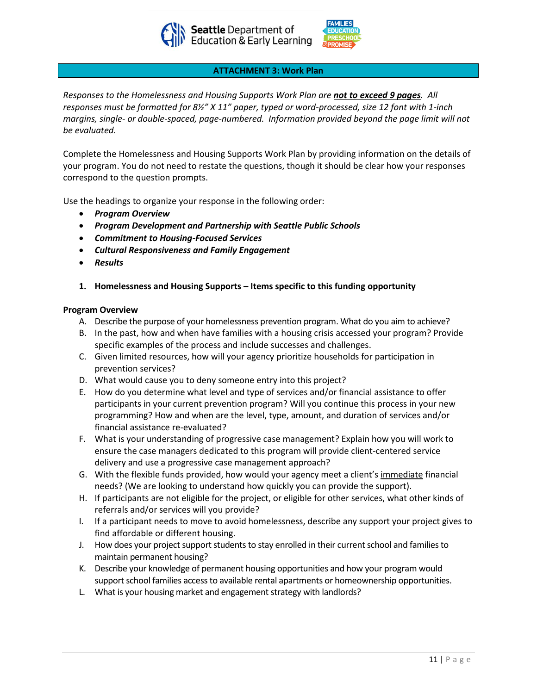



### **ATTACHMENT 3: Work Plan**

*Responses to the Homelessness and Housing Supports Work Plan are not to exceed 9 pages. All responses must be formatted for 8½" X 11" paper, typed or word-processed, size 12 font with 1-inch margins, single- or double-spaced, page-numbered. Information provided beyond the page limit will not be evaluated.* 

Complete the Homelessness and Housing Supports Work Plan by providing information on the details of your program. You do not need to restate the questions, though it should be clear how your responses correspond to the question prompts.

Use the headings to organize your response in the following order:

- *Program Overview*
- *Program Development and Partnership with Seattle Public Schools*
- *Commitment to Housing-Focused Services*
- *Cultural Responsiveness and Family Engagement*
- *Results*
- **1. Homelessness and Housing Supports – Items specific to this funding opportunity**

### **Program Overview**

- A. Describe the purpose of your homelessness prevention program. What do you aim to achieve?
- B. In the past, how and when have families with a housing crisis accessed your program? Provide specific examples of the process and include successes and challenges.
- C. Given limited resources, how will your agency prioritize households for participation in prevention services?
- D. What would cause you to deny someone entry into this project?
- E. How do you determine what level and type of services and/or financial assistance to offer participants in your current prevention program? Will you continue this process in your new programming? How and when are the level, type, amount, and duration of services and/or financial assistance re-evaluated?
- F. What is your understanding of progressive case management? Explain how you will work to ensure the case managers dedicated to this program will provide client-centered service delivery and use a progressive case management approach?
- G. With the flexible funds provided, how would your agency meet a client's immediate financial needs? (We are looking to understand how quickly you can provide the support).
- H. If participants are not eligible for the project, or eligible for other services, what other kinds of referrals and/or services will you provide?
- I. If a participant needs to move to avoid homelessness, describe any support your project gives to find affordable or different housing.
- J. How does your project support students to stay enrolled in their current school and families to maintain permanent housing?
- K. Describe your knowledge of permanent housing opportunities and how your program would support school families access to available rental apartments or homeownership opportunities.
- L. What is your housing market and engagement strategy with landlords?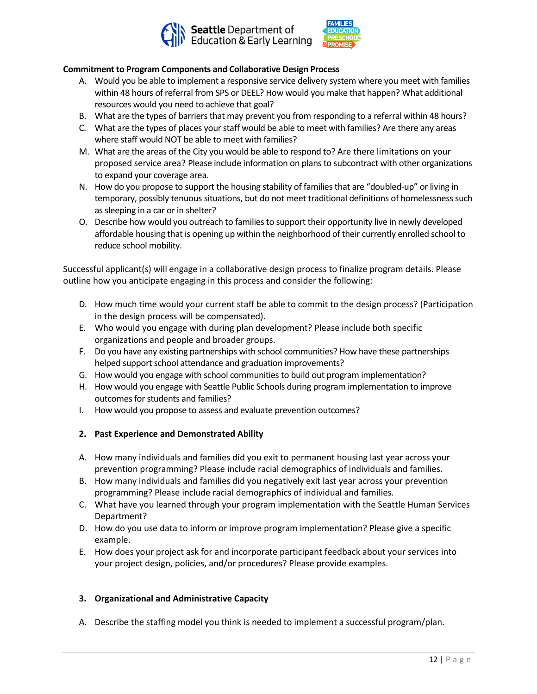



# **Commitment to Program Components and Collaborative Design Process**

- A. Would you be able to implement a responsive service delivery system where you meet with families within 48 hours of referral from SPS or DEEL? How would you make that happen? What additional resources would you need to achieve that goal?
- B. What are the types of barriers that may prevent you from responding to a referral within 48 hours?
- C. What are the types of places your staff would be able to meet with families? Are there any areas where staff would NOT be able to meet with families?
- M. What are the areas of the City you would be able to respond to? Are there limitations on your proposed service area? Please include information on plans to subcontract with other organizations to expand your coverage area.
- N. How do you propose to support the housing stability of families that are "doubled-up" or living in temporary, possibly tenuous situations, but do not meet traditional definitions of homelessness such as sleeping in a car or in shelter?
- O. Describe how would you outreach to families to support their opportunity live in newly developed affordable housing that is opening up within the neighborhood of their currently enrolled school to reduce school mobility.

Successful applicant(s) will engage in a collaborative design process to finalize program details. Please outline how you anticipate engaging in this process and consider the following:

- D. How much time would your current staff be able to commit to the design process? (Participation in the design process will be compensated).
- E. Who would you engage with during plan development? Please include both specific organizations and people and broader groups.
- F. Do you have any existing partnerships with school communities? How have these partnerships helped support school attendance and graduation improvements?
- G. How would you engage with school communities to build out program implementation?
- H. How would you engage with Seattle Public Schools during program implementation to improve outcomes for students and families?
- I. How would you propose to assess and evaluate prevention outcomes?
- **2. Past Experience and Demonstrated Ability**
- A. How many individuals and families did you exit to permanent housing last year across your prevention programming? Please include racial demographics of individuals and families.
- B. How many individuals and families did you negatively exit last year across your prevention programming? Please include racial demographics of individual and families.
- C. What have you learned through your program implementation with the Seattle Human Services Department?
- D. How do you use data to inform or improve program implementation? Please give a specific example.
- E. How does your project ask for and incorporate participant feedback about your services into your project design, policies, and/or procedures? Please provide examples.

# **3. Organizational and Administrative Capacity**

A. Describe the staffing model you think is needed to implement a successful program/plan.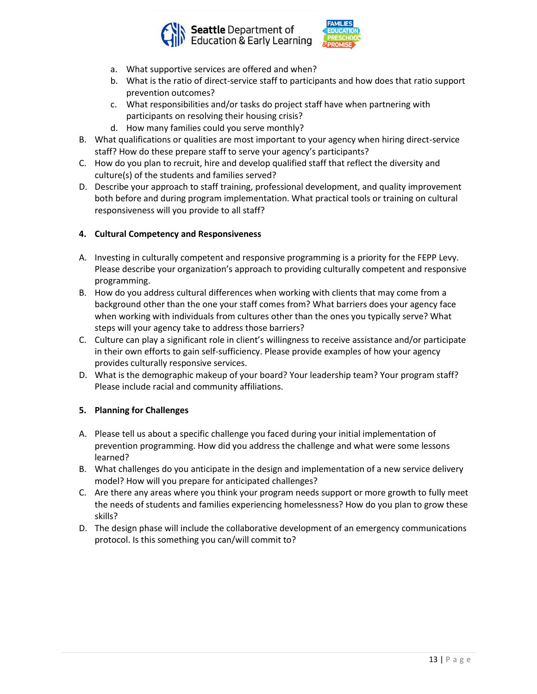



- a. What supportive services are offered and when?
- b. What is the ratio of direct-service staff to participants and how does that ratio support prevention outcomes?
- c. What responsibilities and/or tasks do project staff have when partnering with participants on resolving their housing crisis?
- d. How many families could you serve monthly?
- B. What qualifications or qualities are most important to your agency when hiring direct-service staff? How do these prepare staff to serve your agency's participants?
- C. How do you plan to recruit, hire and develop qualified staff that reflect the diversity and culture(s) of the students and families served?
- D. Describe your approach to staff training, professional development, and quality improvement both before and during program implementation. What practical tools or training on cultural responsiveness will you provide to all staff?

# **4. Cultural Competency and Responsiveness**

- A. Investing in culturally competent and responsive programming is a priority for the FEPP Levy. Please describe your organization's approach to providing culturally competent and responsive programming.
- B. How do you address cultural differences when working with clients that may come from a background other than the one your staff comes from? What barriers does your agency face when working with individuals from cultures other than the ones you typically serve? What steps will your agency take to address those barriers?
- C. Culture can play a significant role in client's willingness to receive assistance and/or participate in their own efforts to gain self-sufficiency. Please provide examples of how your agency provides culturally responsive services.
- D. What is the demographic makeup of your board? Your leadership team? Your program staff? Please include racial and community affiliations.

# **5. Planning for Challenges**

- A. Please tell us about a specific challenge you faced during your initial implementation of prevention programming. How did you address the challenge and what were some lessons learned?
- B. What challenges do you anticipate in the design and implementation of a new service delivery model? How will you prepare for anticipated challenges?
- C. Are there any areas where you think your program needs support or more growth to fully meet the needs of students and families experiencing homelessness? How do you plan to grow these skills?
- D. The design phase will include the collaborative development of an emergency communications protocol. Is this something you can/will commit to?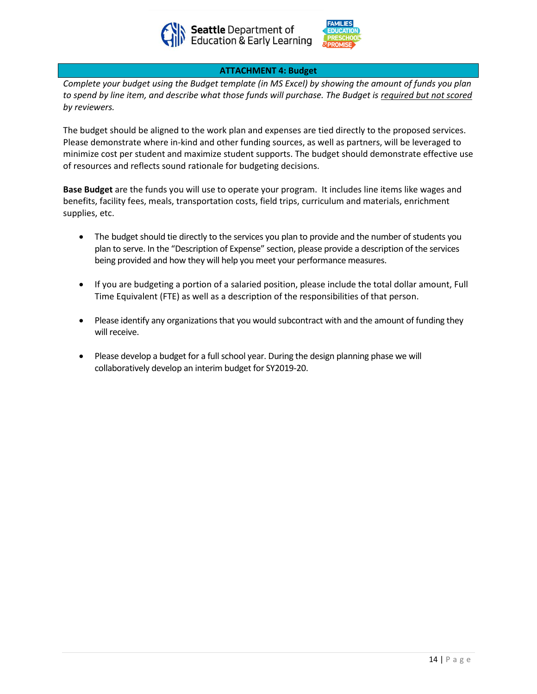



## **ATTACHMENT 4: Budget**

*Complete your budget using the Budget template (in MS Excel) by showing the amount of funds you plan to spend by line item, and describe what those funds will purchase. The Budget is required but not scored by reviewers.* 

The budget should be aligned to the work plan and expenses are tied directly to the proposed services. Please demonstrate where in-kind and other funding sources, as well as partners, will be leveraged to minimize cost per student and maximize student supports. The budget should demonstrate effective use of resources and reflects sound rationale for budgeting decisions.

**Base Budget** are the funds you will use to operate your program. It includes line items like wages and benefits, facility fees, meals, transportation costs, field trips, curriculum and materials, enrichment supplies, etc.

- The budget should tie directly to the services you plan to provide and the number of students you plan to serve. In the "Description of Expense" section, please provide a description of the services being provided and how they will help you meet your performance measures.
- If you are budgeting a portion of a salaried position, please include the total dollar amount, Full Time Equivalent (FTE) as well as a description of the responsibilities of that person.
- Please identify any organizations that you would subcontract with and the amount of funding they will receive.
- Please develop a budget for a full school year. During the design planning phase we will collaboratively develop an interim budget for SY2019-20.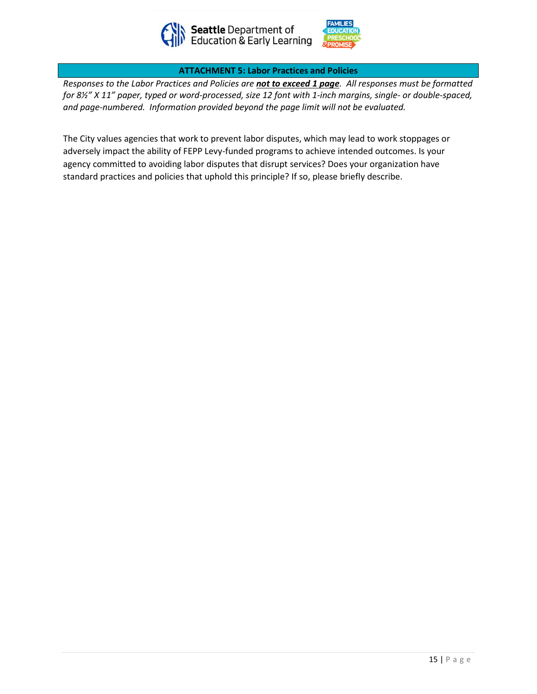



**ATTACHMENT 5: Labor Practices and Policies**

*Responses to the Labor Practices and Policies are not to exceed 1 page. All responses must be formatted for 8½" X 11" paper, typed or word-processed, size 12 font with 1-inch margins, single- or double-spaced, and page-numbered. Information provided beyond the page limit will not be evaluated.* 

The City values agencies that work to prevent labor disputes, which may lead to work stoppages or adversely impact the ability of FEPP Levy-funded programs to achieve intended outcomes. Is your agency committed to avoiding labor disputes that disrupt services? Does your organization have standard practices and policies that uphold this principle? If so, please briefly describe.